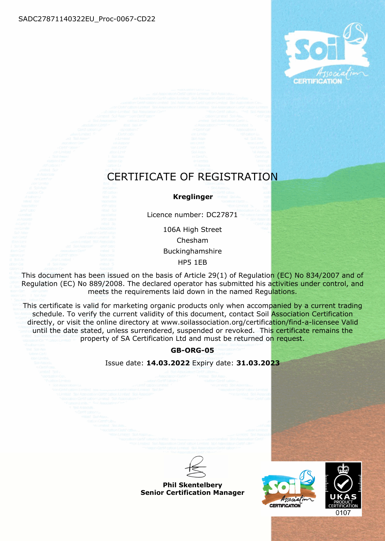